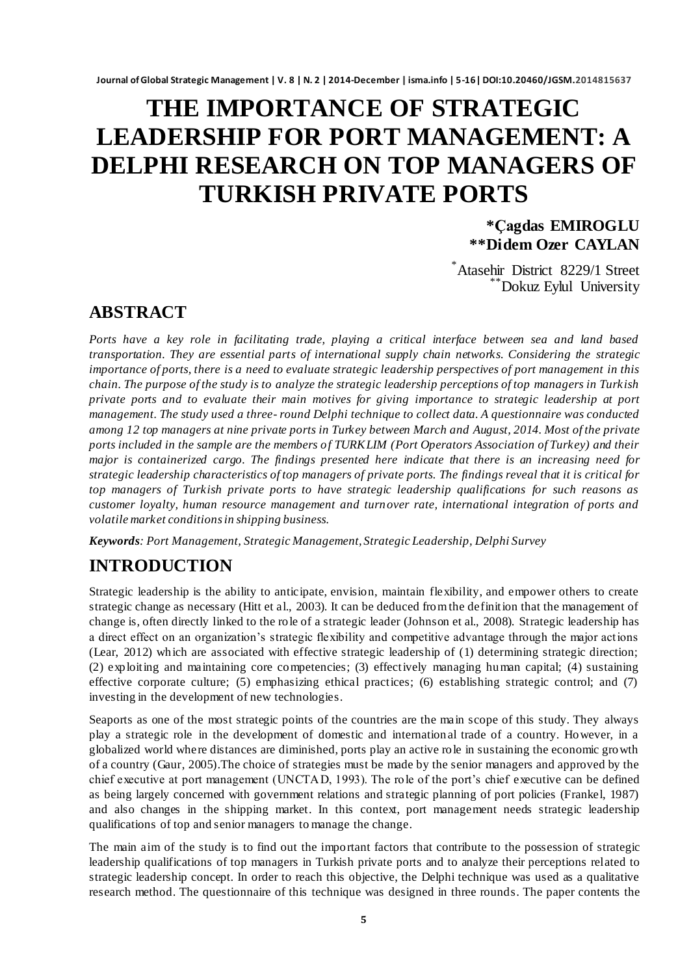# **THE IMPORTANCE OF STRATEGIC LEADERSHIP FOR PORT MANAGEMENT: A DELPHI RESEARCH ON TOP MANAGERS OF TURKISH PRIVATE PORTS**

**\*Çagdas EMIROGLU \*\*Didem Ozer CAYLAN**

\*Atasehir District 8229/1 Street \*\*Dokuz Eylul University

## **ABSTRACT**

*Ports have a key role in facilitating trade, playing a critical interface between sea and land based transportation. They are essential parts of international supply chain networks. Considering the strategic importance of ports, there is a need to evaluate strategic leadership perspectives of port management in this chain. The purpose of the study is to analyze the strategic leadership perceptions of top managers in Turkish private ports and to evaluate their main motives for giving importance to strategic leadership at port management. The study used a three- round Delphi technique to collect data. A questionnaire was conducted among 12 top managers at nine private ports in Turkey between March and August, 2014. Most of the private ports included in the sample are the members of TURKLIM (Port Operators Association of Turkey) and their major is containerized cargo. The findings presented here indicate that there is an increasing need for strategic leadership characteristics of top managers of private ports. The findings reveal that it is critical for top managers of Turkish private ports to have strategic leadership qualifications for such reasons as customer loyalty, human resource management and turnover rate, international integration of ports and volatile market conditions in shipping business.* 

*Keywords: Port Management, Strategic Management, Strategic Leadership, Delphi Survey*

# **INTRODUCTION**

Strategic leadership is the ability to anticipate, envision, maintain flexibility, and empower others to create strategic change as necessary (Hitt et al., 2003). It can be deduced from the definition that the management of change is, often directly linked to the role of a strategic leader (Johnson et al., 2008). Strategic leadership has a direct effect on an organization"s strategic flexibility and competitive advantage through the major actions (Lear, 2012) which are associated with effective strategic leadership of (1) determining strategic direction; (2) exploiting and maintaining core competencies; (3) effectively managing human capital; (4) sustaining effective corporate culture; (5) emphasizing ethical practices; (6) establishing strategic control; and (7) investing in the development of new technologies.

Seaports as one of the most strategic points of the countries are the main scope of this study. They always play a strategic role in the development of domestic and internation al trade of a country. However, in a globalized world where distances are diminished, ports play an active role in sustaining the economic growth of a country (Gaur, 2005).The choice of strategies must be made by the senior managers and approved by the chief executive at port management (UNCTAD, 1993). The role of the port"s chief executive can be defined as being largely concerned with government relations and strategic planning of port policies (Frankel, 1987) and also changes in the shipping market. In this context, port management needs strategic leadership qualifications of top and senior managers to manage the change.

The main aim of the study is to find out the important factors that contribute to the possession of strategic leadership qualifications of top managers in Turkish private ports and to analyze their perceptions related to strategic leadership concept. In order to reach this objective, the Delphi technique was used as a qualitative research method. The questionnaire of this technique was designed in three rounds. The paper contents the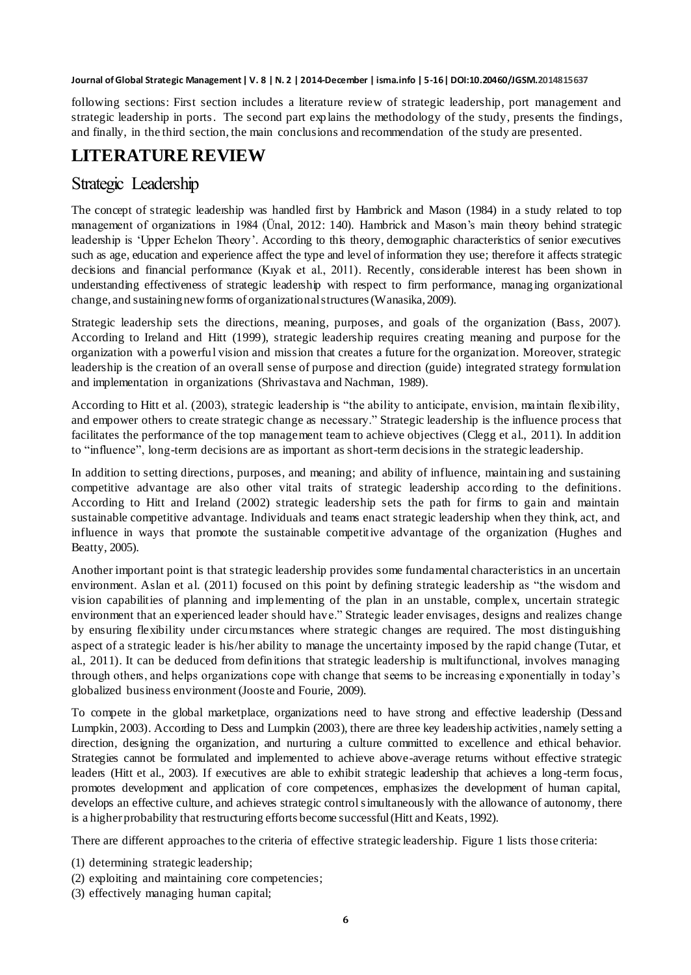following sections: First section includes a literature review of strategic leadership, port management and strategic leadership in ports. The second part explains the methodology of the study, presents the findings, and finally, in the third section, the main conclusions and recommendation of the study are presented.

# **LITERATURE REVIEW**

#### Strategic Leadership

The concept of strategic leadership was handled first by Hambrick and Mason (1984) in a study related to top management of organizations in 1984 (Ünal, 2012: 140). Hambrick and Mason"s main theory behind strategic leadership is "Upper Echelon Theory". According to this theory, demographic characteristics of senior executives such as age, education and experience affect the type and level of information they use; therefore it affects strategic decisions and financial performance (Kıyak et al., 2011). Recently, considerable interest has been shown in understanding effectiveness of strategic leadership with respect to firm performance, managing organizational change, and sustaining new forms of organizationalstructures (Wanasika, 2009).

Strategic leadership sets the directions, meaning, purposes, and goals of the organization (Bass, 2007). According to Ireland and Hitt (1999), strategic leadership requires creating meaning and purpose for the organization with a powerful vision and mission that creates a future for the organization. Moreover, strategic leadership is the creation of an overall sense of purpose and direction (guide) integrated strategy formulation and implementation in organizations (Shrivastava and Nachman, 1989).

According to Hitt et al. (2003), strategic leadership is "the ability to anticipate, envision, maintain flexibility, and empower others to create strategic change as necessary." Strategic leadership is the influence process that facilitates the performance of the top management team to achieve objectives (Clegg et al., 2011). In addition to "influence", long-term decisions are as important as short-term decisions in the strategic leadership.

In addition to setting directions, purposes, and meaning; and ability of influence, maintaining and sustaining competitive advantage are also other vital traits of strategic leadership acco rding to the definitions. According to Hitt and Ireland (2002) strategic leadership sets the path for firms to gain and maintain sustainable competitive advantage. Individuals and teams enact strategic leadership when they think, act, and influence in ways that promote the sustainable competitive advantage of the organization (Hughes and Beatty, 2005).

Another important point is that strategic leadership provides some fundamental characteristics in an uncertain environment. Aslan et al. (2011) focused on this point by defining strategic leadership as "the wisdom and vision capabilities of planning and implementing of the plan in an unstable, complex, uncertain strategic environment that an experienced leader should have." Strategic leader envisages, designs and realizes change by ensuring flexibility under circumstances where strategic changes are required. The most distinguishing aspect of a strategic leader is his/her ability to manage the uncertainty imposed by the rapid change (Tutar, et al., 2011). It can be deduced from definitions that strategic leadership is multifunctional, involves managing through others, and helps organizations cope with change that seems to be increasing exponentially in today"s globalized business environment (Jooste and Fourie, 2009).

To compete in the global marketplace, organizations need to have strong and effective leadership (Dessand Lumpkin, 2003). According to Dess and Lumpkin (2003), there are three key leadership activities, namely setting a direction, designing the organization, and nurturing a culture committed to excellence and ethical behavior. Strategies cannot be formulated and implemented to achieve above-average returns without effective strategic leaders (Hitt et al., 2003). If executives are able to exhibit strategic leadership that achieves a long-term focus, promotes development and application of core competences, emphasizes the development of human capital, develops an effective culture, and achieves strategic control simultaneously with the allowance of autonomy, there is a higher probability that restructuring efforts become successful(Hitt and Keats, 1992).

There are different approaches to the criteria of effective strategic leadership. Figure 1 lists those criteria:

- (1) determining strategic leadership;
- (2) exploiting and maintaining core competencies;
- (3) effectively managing human capital;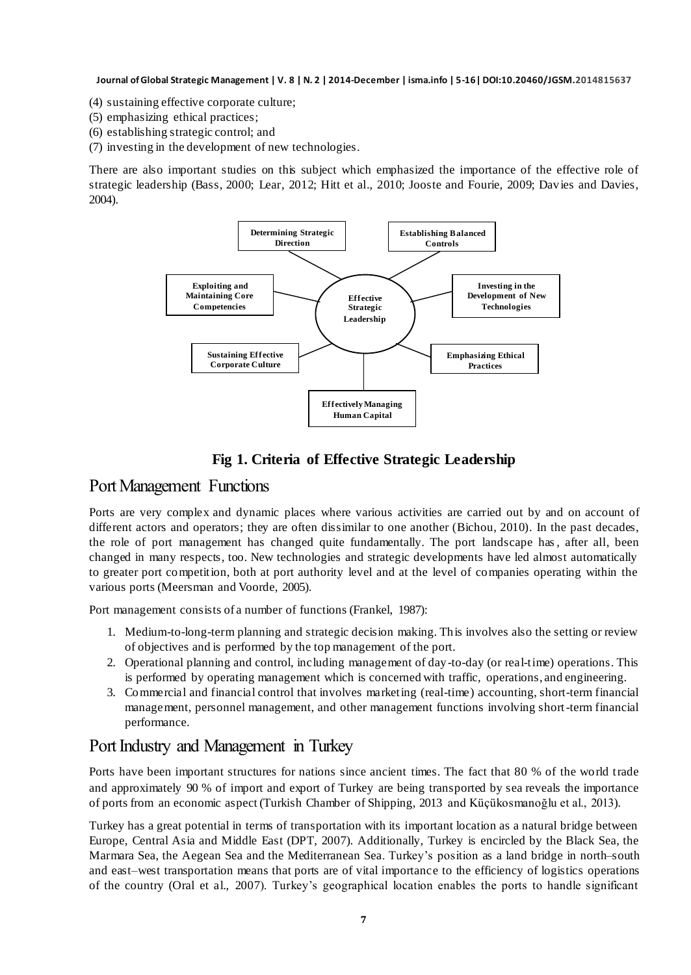- (4) sustaining effective corporate culture;
- (5) emphasizing ethical practices;
- (6) establishing strategic control; and
- (7) investing in the development of new technologies.

There are also important studies on this subject which emphasized the importance of the effective role of strategic leadership (Bass, 2000; Lear, 2012; Hitt et al., 2010; Jooste and Fourie, 2009; Davies and Davies, 2004).



#### **Fig 1. Criteria of Effective Strategic Leadership**

#### Port Management Functions

Ports are very complex and dynamic places where various activities are carried out by and on account of different actors and operators; they are often dissimilar to one another (Bichou, 2010). In the past decades, the role of port management has changed quite fundamentally. The port landscape has, after all, been changed in many respects, too. New technologies and strategic developments have led almost automatically to greater port competition, both at port authority level and at the level of companies operating within the various ports (Meersman and Voorde, 2005).

Port management consists of a number of functions (Frankel, 1987):

- 1. Medium-to-long-term planning and strategic decision making. This involves also the setting or review of objectives and is performed by the top management of the port.
- 2. Operational planning and control, including management of day-to-day (or real-time) operations. This is performed by operating management which is concerned with traffic, operations, and engineering.
- 3. Commercial and financial control that involves marketing (real-time) accounting, short-term financial management, personnel management, and other management functions involving short-term financial performance.

#### Port Industry and Management in Turkey

Ports have been important structures for nations since ancient times. The fact that 80 % of the world trade and approximately 90 % of import and export of Turkey are being transported by sea reveals the importance of ports from an economic aspect (Turkish Chamber of Shipping, 2013 and Küçükosmanoğlu et al., 2013).

Turkey has a great potential in terms of transportation with its important location as a natural bridge between Europe, Central Asia and Middle East (DPT, 2007). Additionally, Turkey is encircled by the Black Sea, the Marmara Sea, the Aegean Sea and the Mediterranean Sea. Turkey"s position as a land bridge in north–south and east–west transportation means that ports are of vital importance to the efficiency of logistics operations of the country (Oral et al., 2007). Turkey"s geographical location enables the ports to handle significant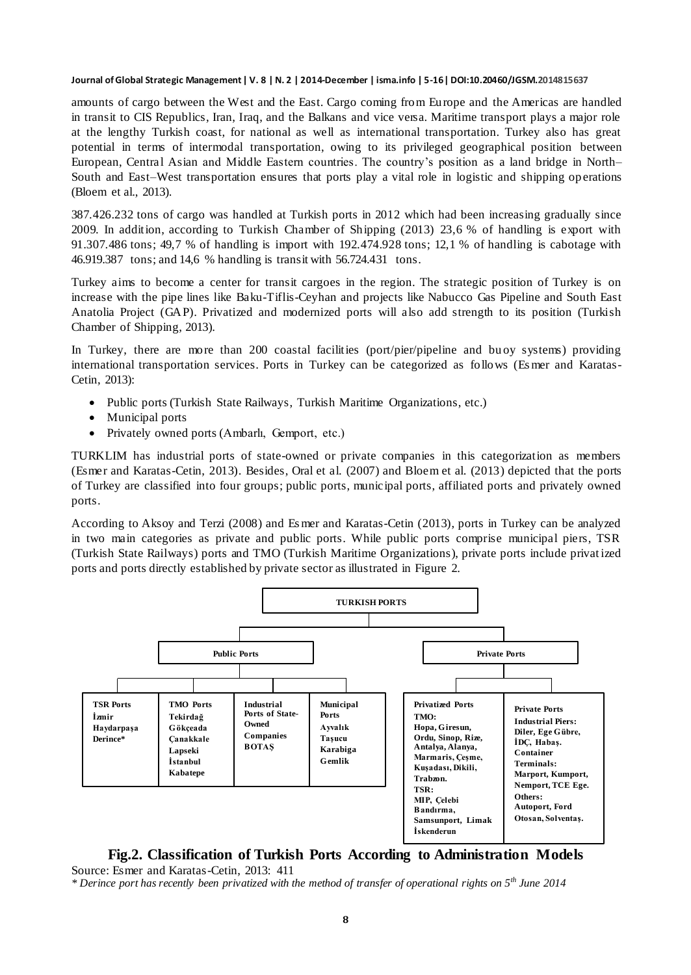amounts of cargo between the West and the East. Cargo coming from Europe and the Americas are handled in transit to CIS Republics, Iran, Iraq, and the Balkans and vice versa. Maritime transport plays a major role at the lengthy Turkish coast, for national as well as international transportation. Turkey also has great potential in terms of intermodal transportation, owing to its privileged geographical position between European, Central Asian and Middle Eastern countries. The country's position as a land bridge in North– South and East–West transportation ensures that ports play a vital role in logistic and shipping op erations (Bloem et al., 2013).

387.426.232 tons of cargo was handled at Turkish ports in 2012 which had been increasing gradually since 2009. In addition, according to Turkish Chamber of Shipping (2013) 23,6 % of handling is export with 91.307.486 tons; 49,7 % of handling is import with 192.474.928 tons; 12,1 % of handling is cabotage with 46.919.387 tons; and 14,6 % handling is transit with 56.724.431 tons.

Turkey aims to become a center for transit cargoes in the region. The strategic position of Turkey is on increase with the pipe lines like Baku-Tiflis-Ceyhan and projects like Nabucco Gas Pipeline and South East Anatolia Project (GAP). Privatized and modernized ports will also add strength to its position (Turkish Chamber of Shipping, 2013).

In Turkey, there are more than 200 coastal facilities (port/pier/pipeline and bu oy systems) providing international transportation services. Ports in Turkey can be categorized as follows (Esmer and Karatas-Cetin, 2013):

- Public ports (Turkish State Railways, Turkish Maritime Organizations, etc.)
- Municipal ports
- Privately owned ports (Ambarlı, Gemport, etc.)

TURKLIM has industrial ports of state-owned or private companies in this categorization as members (Esmer and Karatas-Cetin, 2013). Besides, Oral et al. (2007) and Bloem et al. (2013) depicted that the ports of Turkey are classified into four groups; public ports, municipal ports, affiliated ports and privately owned ports.

According to Aksoy and Terzi (2008) and Es mer and Karatas-Cetin (2013), ports in Turkey can be analyzed in two main categories as private and public ports. While public ports comprise municipal piers, TSR (Turkish State Railways) ports and TMO (Turkish Maritime Organizations), private ports include privat ized ports and ports directly established by private sector as illustrated in Figure 2.



#### **Fig.2. Classification of Turkish Ports According to Administration Models**

Source: Esmer and Karatas-Cetin, 2013: 411 *\* Derince port has recently been privatized with the method of transfer of operational rights on 5th June 2014*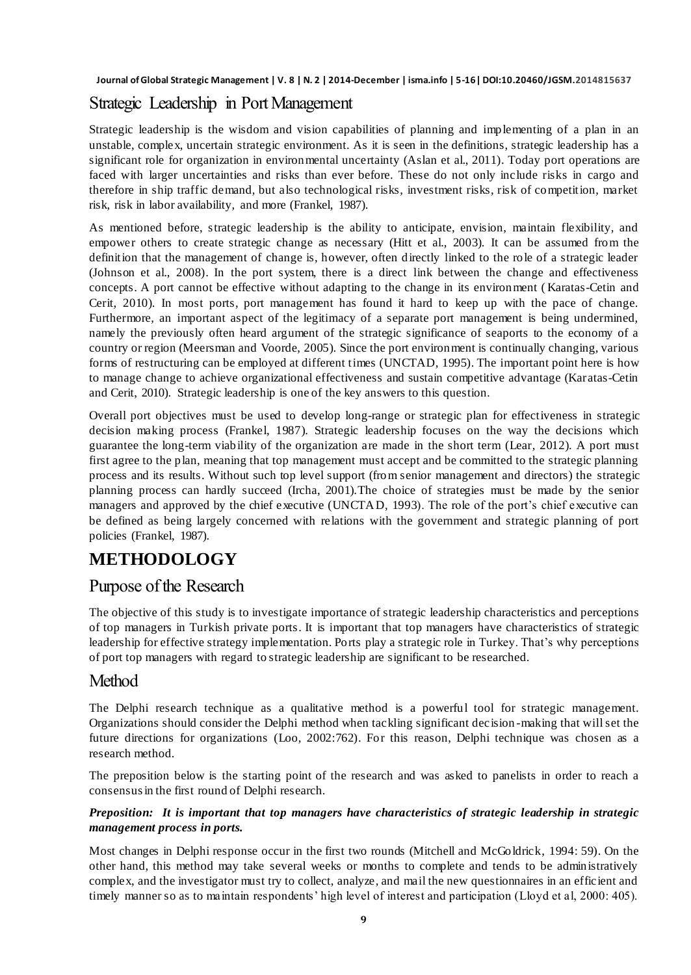### Strategic Leadership in Port Management

Strategic leadership is the wisdom and vision capabilities of planning and implementing of a plan in an unstable, complex, uncertain strategic environment. As it is seen in the definitions, strategic leadership has a significant role for organization in environmental uncertainty (Aslan et al., 2011). Today port operations are faced with larger uncertainties and risks than ever before. These do not only include risks in cargo and therefore in ship traffic demand, but also technological risks, investment risks, risk of competition, market risk, risk in labor availability, and more (Frankel, 1987).

As mentioned before, strategic leadership is the ability to anticipate, envision, maintain flexibility, and empower others to create strategic change as necessary (Hitt et al., 2003). It can be assumed from the definition that the management of change is, however, often directly linked to the role of a strategic leader (Johnson et al., 2008). In the port system, there is a direct link between the change and effectiveness concepts. A port cannot be effective without adapting to the change in its environment ( Karatas-Cetin and Cerit, 2010). In most ports, port management has found it hard to keep up with the pace of change. Furthermore, an important aspect of the legitimacy of a separate port management is being undermined, namely the previously often heard argument of the strategic significance of seaports to the economy of a country or region (Meersman and Voorde, 2005). Since the port environment is continually changing, various forms of restructuring can be employed at different times (UNCTAD, 1995). The important point here is how to manage change to achieve organizational effectiveness and sustain competitive advantage (Karatas-Cetin and Cerit, 2010). Strategic leadership is one of the key answers to this question.

Overall port objectives must be used to develop long-range or strategic plan for effectiveness in strategic decision making process (Frankel, 1987). Strategic leadership focuses on the way the decisions which guarantee the long-term viability of the organization are made in the short term (Lear, 2012). A port must first agree to the plan, meaning that top management must accept and be committed to the strategic planning process and its results. Without such top level support (from senior management and directors) the strategic planning process can hardly succeed (Ircha, 2001).The choice of strategies must be made by the senior managers and approved by the chief executive (UNCTAD, 1993). The role of the port's chief executive can be defined as being largely concerned with relations with the government and strategic planning of port policies (Frankel, 1987).

# **METHODOLOGY**

#### Purpose of the Research

The objective of this study is to investigate importance of strategic leadership characteristics and perceptions of top managers in Turkish private ports. It is important that top managers have characteristics of strategic leadership for effective strategy implementation. Ports play a strategic role in Turkey. That's why perceptions of port top managers with regard to strategic leadership are significant to be researched.

#### Method

The Delphi research technique as a qualitative method is a powerful tool for strategic management. Organizations should consider the Delphi method when tackling significant decision -making that will set the future directions for organizations (Loo, 2002:762). For this reason, Delphi technique was chosen as a research method.

The preposition below is the starting point of the research and was asked to panelists in order to reach a consensus in the first round of Delphi research.

#### *Preposition: It is important that top managers have characteristics of strategic leadership in strategic management process in ports.*

Most changes in Delphi response occur in the first two rounds (Mitchell and McGoldrick, 1994: 59). On the other hand, this method may take several weeks or months to complete and tends to be administratively complex, and the investigator must try to collect, analyze, and mail the new questionnaires in an efficient and timely manner so as to maintain respondents' high level of interest and participation (Lloyd et al, 2000: 405).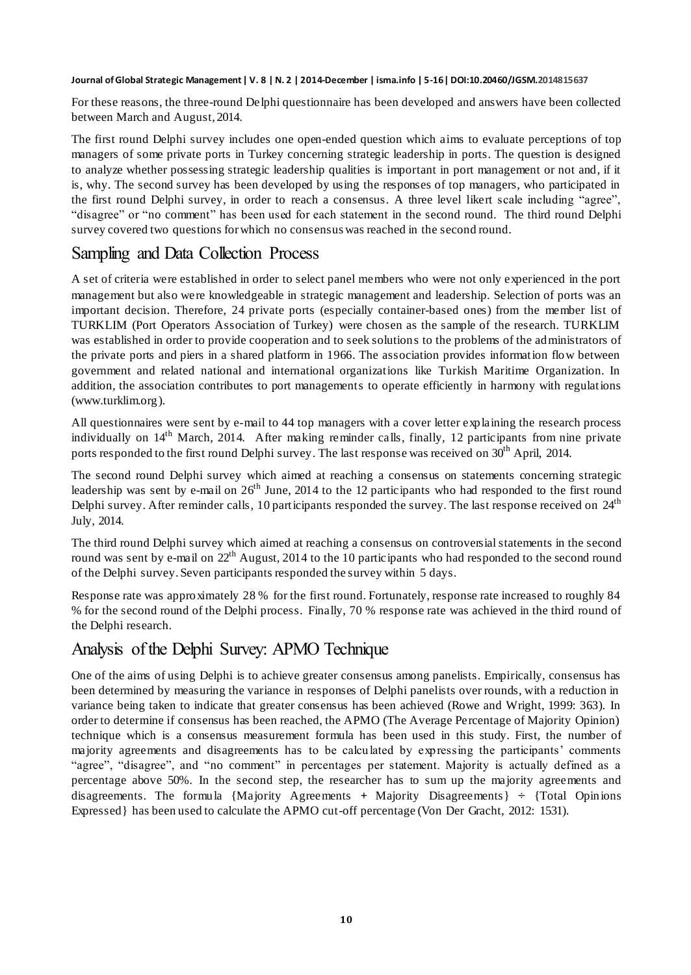For these reasons, the three-round Delphi questionnaire has been developed and answers have been collected between March and August, 2014.

The first round Delphi survey includes one open-ended question which aims to evaluate perceptions of top managers of some private ports in Turkey concerning strategic leadership in ports. The question is designed to analyze whether possessing strategic leadership qualities is important in port management or not and, if it is, why. The second survey has been developed by using the responses of top managers, who participated in the first round Delphi survey, in order to reach a consensus. A three level likert scale including "agree", "disagree" or "no comment" has been used for each statement in the second round. The third round Delphi survey covered two questions for which no consensus was reached in the second round.

### Sampling and Data Collection Process

A set of criteria were established in order to select panel members who were not only experienced in the port management but also were knowledgeable in strategic management and leadership. Selection of ports was an important decision. Therefore, 24 private ports (especially container-based ones) from the member list of TURKLIM (Port Operators Association of Turkey) were chosen as the sample of the research. TURKLIM was established in order to provide cooperation and to seek solutions to the problems of the administrators of the private ports and piers in a shared platform in 1966. The association provides information flow between government and related national and international organizations like Turkish Maritime Organization. In addition, the association contributes to port managements to operate efficiently in harmony with regulations (www.turklim.org).

All questionnaires were sent by e-mail to 44 top managers with a cover letter explaining the research process individually on  $14<sup>th</sup>$  March, 2014. After making reminder calls, finally, 12 participants from nine private ports responded to the first round Delphi survey. The last response was received on 30<sup>th</sup> April, 2014.

The second round Delphi survey which aimed at reaching a consensus on statements concerning strategic leadership was sent by e-mail on  $26<sup>th</sup>$  June, 2014 to the 12 participants who had responded to the first round Delphi survey. After reminder calls, 10 participants responded the survey. The last response received on 24<sup>th</sup> July, 2014.

The third round Delphi survey which aimed at reaching a consensus on controversial statements in the second round was sent by e-mail on  $22<sup>th</sup>$  August, 2014 to the 10 participants who had responded to the second round of the Delphi survey. Seven participants responded the survey within 5 days.

Response rate was approximately 28 % for the first round. Fortunately, response rate increased to roughly 84 % for the second round of the Delphi process. Finally, 70 % response rate was achieved in the third round of the Delphi research.

### Analysis of the Delphi Survey: APMO Technique

One of the aims of using Delphi is to achieve greater consensus among panelists. Empirically, consensus has been determined by measuring the variance in responses of Delphi panelists over rounds, with a reduction in variance being taken to indicate that greater consensus has been achieved (Rowe and Wright, 1999: 363). In order to determine if consensus has been reached, the APMO (The Average Percentage of Majority Opinion) technique which is a consensus measurement formula has been used in this study. First, the number of majority agreements and disagreements has to be calculated by expressing the participants" comments "agree", "disagree", and "no comment" in percentages per statement. Majority is actually defined as a percentage above 50%. In the second step, the researcher has to sum up the majority agreements and disagreements. The formula {Majority Agreements **+** Majority Disagreements} **÷** {Total Opinions Expressed} has been used to calculate the APMO cut-off percentage (Von Der Gracht, 2012: 1531).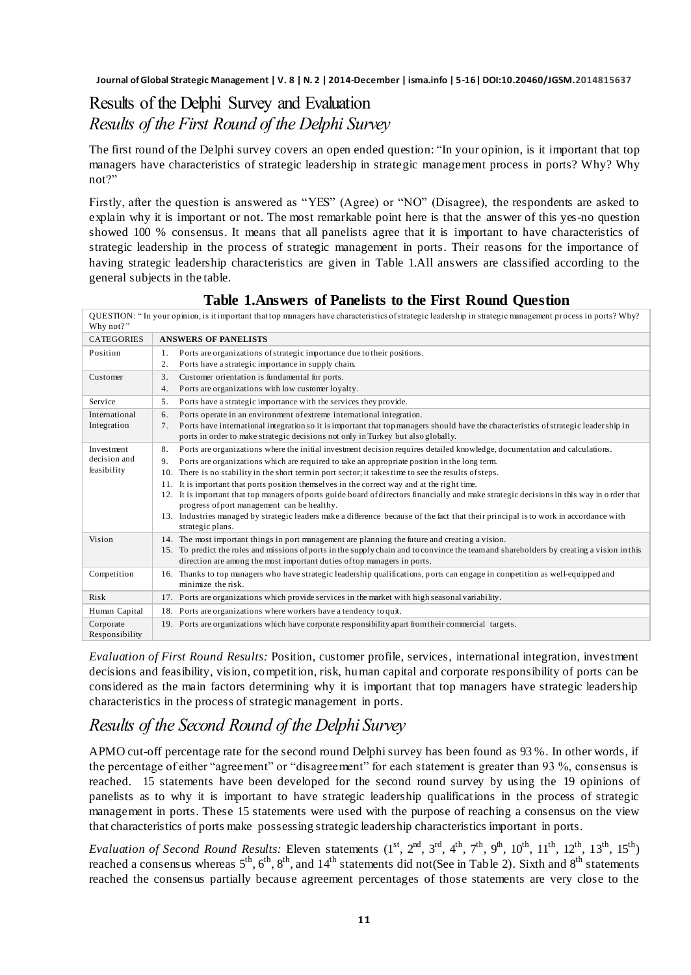# Results of the Delphi Survey and Evaluation *Results of the First Round of the Delphi Survey*

The first round of the Delphi survey covers an open ended question: "In your opinion, is it important that top managers have characteristics of strategic leadership in strategic management process in ports? Why? Why not?"

Firstly, after the question is answered as "YES" (Agree) or "NO" (Disagree), the respondents are asked to explain why it is important or not. The most remarkable point here is that the answer of this yes-no question showed 100 % consensus. It means that all panelists agree that it is important to have characteristics of strategic leadership in the process of strategic management in ports. Their reasons for the importance of having strategic leadership characteristics are given in Table 1.All answers are classified according to the general subjects in the table.

| Why not?"                                 | QUESTION: "In your opinion, is it important that top managers have characteristics of strategic leadership in strategic management process in ports? Why?                                                                                                                                                                                                                                                                                                                                                                                                                                                                                                                                                                                                                                                       |
|-------------------------------------------|-----------------------------------------------------------------------------------------------------------------------------------------------------------------------------------------------------------------------------------------------------------------------------------------------------------------------------------------------------------------------------------------------------------------------------------------------------------------------------------------------------------------------------------------------------------------------------------------------------------------------------------------------------------------------------------------------------------------------------------------------------------------------------------------------------------------|
| <b>CATEGORIES</b>                         | <b>ANSWERS OF PANELISTS</b>                                                                                                                                                                                                                                                                                                                                                                                                                                                                                                                                                                                                                                                                                                                                                                                     |
| Position                                  | Ports are organizations of strategic importance due to their positions.<br>1.<br>Ports have a strategic importance in supply chain.<br>2.                                                                                                                                                                                                                                                                                                                                                                                                                                                                                                                                                                                                                                                                       |
| Customer                                  | Customer orientation is fundamental for ports.<br>3.<br>Ports are organizations with low customer loyalty.<br>4.                                                                                                                                                                                                                                                                                                                                                                                                                                                                                                                                                                                                                                                                                                |
| Service                                   | Ports have a strategic importance with the services they provide.<br>5.                                                                                                                                                                                                                                                                                                                                                                                                                                                                                                                                                                                                                                                                                                                                         |
| International<br>Integration              | Ports operate in an environment of extreme international integration.<br>6.<br>Ports have international integration so it is important that top managers should have the characteristics of strategic leader ship in<br>7 <sub>1</sub><br>ports in order to make strategic decisions not only in Turkey but also globally.                                                                                                                                                                                                                                                                                                                                                                                                                                                                                      |
| Investment<br>decision and<br>feasibility | Ports are organizations where the initial investment decision requires detailed knowledge, documentation and calculations.<br>8.<br>Ports are organizations which are required to take an appropriate position in the long term.<br>9.<br>There is no stability in the short term in port sector; it takes time to see the results of steps.<br>10.<br>It is important that ports position themselves in the correct way and at the right time.<br>11.<br>12. It is important that top managers of ports guide board of directors financially and make strategic decisions in this way in order that<br>progress of port management can be healthy.<br>13. Industries managed by strategic leaders make a difference because of the fact that their principal is to work in accordance with<br>strategic plans. |
| Vision                                    | 14. The most important things in port management are planning the future and creating a vision.<br>15. To predict the roles and missions of ports in the supply chain and to convince the team and shareholders by creating a vision in this<br>direction are among the most important duties of top managers in ports.                                                                                                                                                                                                                                                                                                                                                                                                                                                                                         |
| Competition                               | 16. Thanks to top managers who have strategic leadership qualifications, ports can engage in competition as well-equipped and<br>minimize the risk.                                                                                                                                                                                                                                                                                                                                                                                                                                                                                                                                                                                                                                                             |
| Risk                                      | 17. Ports are organizations which provide services in the market with high seasonal variability.                                                                                                                                                                                                                                                                                                                                                                                                                                                                                                                                                                                                                                                                                                                |
| Human Capital                             | 18. Ports are organizations where workers have a tendency to quit.                                                                                                                                                                                                                                                                                                                                                                                                                                                                                                                                                                                                                                                                                                                                              |
| Corporate<br>Responsibility               | 19. Ports are organizations which have corporate responsibility apart from their commercial targets.                                                                                                                                                                                                                                                                                                                                                                                                                                                                                                                                                                                                                                                                                                            |

**Table 1.Answers of Panelists to the First Round Question**

*Evaluation of First Round Results:* Position, customer profile, services, international integration, investment decisions and feasibility, vision, competition, risk, human capital and corporate responsibility of ports can be considered as the main factors determining why it is important that top managers have strategic leadership characteristics in the process of strategic management in ports.

### *Results of the Second Round of the Delphi Survey*

APMO cut-off percentage rate for the second round Delphi survey has been found as 93 %. In other words, if the percentage of either "agreement" or "disagreement" for each statement is greater than 93 %, consensus is reached. 15 statements have been developed for the second round survey by using the 19 opinions of panelists as to why it is important to have strategic leadership qualifications in the process of strategic management in ports. These 15 statements were used with the purpose of reaching a consensus on the view that characteristics of ports make possessing strategic leadership characteristics important in ports.

*Evaluation of Second Round Results:* Eleven statements  $(1^{st}, 2^{nd}, 3^{rd}, 4^{th}, 7^{th}, 9^{th}, 10^{th}, 11^{th}, 12^{th}, 13^{th}, 15^{th})$ reached a consensus whereas  $5<sup>th</sup>$ ,  $6<sup>th</sup>$ ,  $8<sup>th</sup>$ , and  $14<sup>th</sup>$  statements did not(See in Table 2). Sixth and  $8<sup>th</sup>$  statements reached the consensus partially because agreement percentages of those statements are very close to the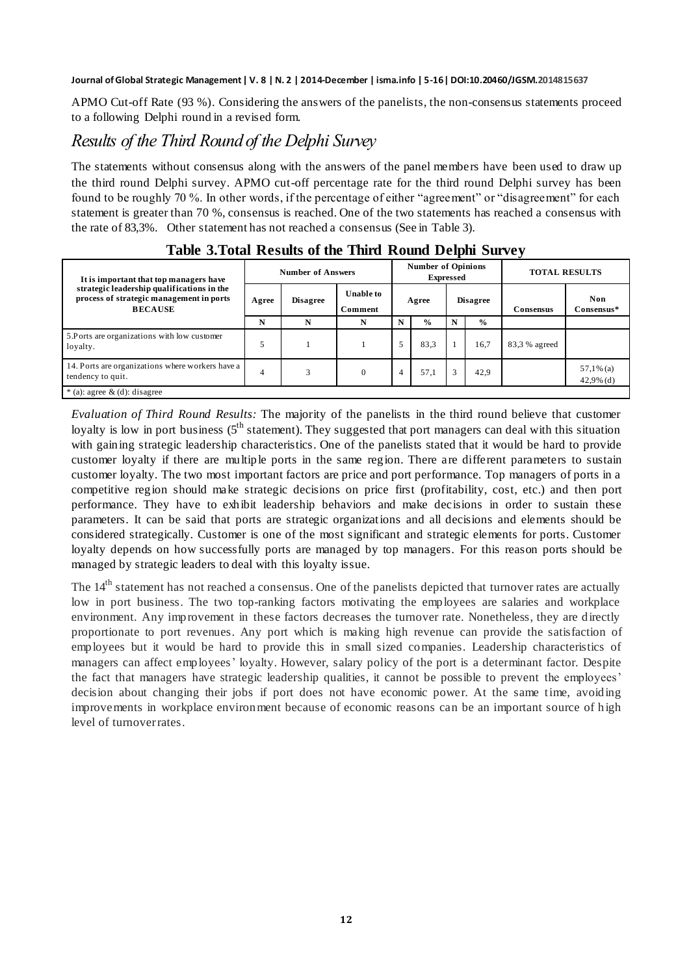APMO Cut-off Rate (93 %). Considering the answers of the panelists, the non-consensus statements proceed to a following Delphi round in a revised form.

#### *Results of the Third Round of the Delphi Survey*

The statements without consensus along with the answers of the panel members have been used to draw up the third round Delphi survey. APMO cut-off percentage rate for the third round Delphi survey has been found to be roughly 70 %. In other words, if the percentage of either "agreement" or "disagreement" for each statement is greater than 70 %, consensus is reached. One of the two statements has reached a consensus with the rate of 83,3%. Other statement has not reached a consensus (See in Table 3).

|                                                                                                          |       |                          |                             |   |                                               |      |                 | $\overline{\phantom{a}}$ |                             |
|----------------------------------------------------------------------------------------------------------|-------|--------------------------|-----------------------------|---|-----------------------------------------------|------|-----------------|--------------------------|-----------------------------|
| It is important that top managers have                                                                   |       | <b>Number of Answers</b> |                             |   | <b>Number of Opinions</b><br><b>Expressed</b> |      |                 | <b>TOTAL RESULTS</b>     |                             |
| strategic leadership qualifications in the<br>process of strategic management in ports<br><b>BECAUSE</b> | Agree | <b>Disagree</b>          | <b>Unable to</b><br>Comment |   | Agree                                         |      | <b>Disagree</b> | Consensus                | <b>Non</b><br>Consensus*    |
|                                                                                                          | N     | N                        | N                           | N | $\frac{6}{6}$                                 | N    | $\frac{0}{0}$   |                          |                             |
| 5. Ports are organizations with low customer<br>loyalty.                                                 | 5     |                          |                             | 5 | 83.3                                          | 16,7 |                 | 83,3 % agreed            |                             |
| 14. Ports are organizations where workers have a<br>tendency to quit.                                    | 4     | 3                        | $\Omega$                    | 4 | 57,1                                          | 3    | 42,9            |                          | $57,1\%$ (a)<br>$42,9%$ (d) |
| $*(a)$ : agree & (d): disagree                                                                           |       |                          |                             |   |                                               |      |                 |                          |                             |

#### **Table 3.Total Results of the Third Round Delphi Survey**

*Evaluation of Third Round Results:* The majority of the panelists in the third round believe that customer loyalty is low in port business (5<sup>th</sup> statement). They suggested that port managers can deal with this situation with gaining strategic leadership characteristics. One of the panelists stated that it would be hard to provide customer loyalty if there are multiple ports in the same region. There are different parameters to sustain customer loyalty. The two most important factors are price and port performance. Top managers of ports in a competitive region should make strategic decisions on price first (profitability, cost, etc.) and then port performance. They have to exhibit leadership behaviors and make decisions in order to sustain these parameters. It can be said that ports are strategic organizations and all decisions and elements should be considered strategically. Customer is one of the most significant and strategic elements for ports. Customer loyalty depends on how successfully ports are managed by top managers. For this reason ports should be managed by strategic leaders to deal with this loyalty issue.

The 14<sup>th</sup> statement has not reached a consensus. One of the panelists depicted that turnover rates are actually low in port business. The two top-ranking factors motivating the employees are salaries and workplace environment. Any improvement in these factors decreases the turnover rate. Nonetheless, they are directly proportionate to port revenues. Any port which is making high revenue can provide the satisfaction of employees but it would be hard to provide this in small sized companies. Leadership characteristics of managers can affect employees" loyalty. However, salary policy of the port is a determinant factor. Despite the fact that managers have strategic leadership qualities, it cannot be possible to prevent the employees" decision about changing their jobs if port does not have economic power. At the same time, avoiding improvements in workplace environment because of economic reasons can be an important source of high level of turnover rates.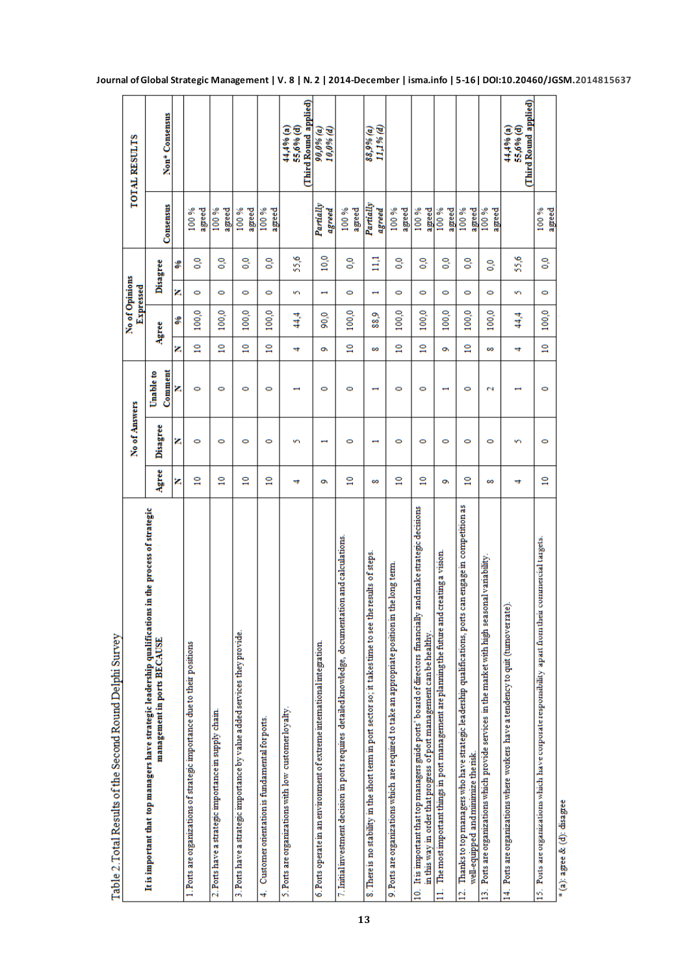| ì<br>out medical men and a community of the community of the community of the community of the community of the community of the community of the community of the community of the community of the community of the community of<br>$\frac{1}{2}$ |                 |               |                      |                 |                |                          |                           |                     |                                                 |
|-----------------------------------------------------------------------------------------------------------------------------------------------------------------------------------------------------------------------------------------------------|-----------------|---------------|----------------------|-----------------|----------------|--------------------------|---------------------------|---------------------|-------------------------------------------------|
|                                                                                                                                                                                                                                                     |                 | No of Answers |                      |                 | No of Opinions | Expressed                |                           |                     | <b>TOTAL RESULTS</b>                            |
| It is important that top managers have strategic leadership qualifications in the process of strategic<br>management in ports BECAUSE                                                                                                               | Agree           | Disagree      | Comment<br>Unable to |                 | Agree          |                          | Disagree                  | Consensus           | Non <sup>*</sup> Consensus                      |
|                                                                                                                                                                                                                                                     | z               | z             | z                    | z               | ့              | z                        | ₷                         |                     |                                                 |
| 1. Ports are organizations of strategic importance due to their positions                                                                                                                                                                           | $\overline{a}$  | ۰             | 0                    | $\overline{a}$  | 100,0          | 0                        | $^{0.0}$                  | agreed<br>100%      |                                                 |
| 2. Ports have a strategic importance in supply chain                                                                                                                                                                                                | $\mathbf{r}$    | 0             | 0                    | $\overline{a}$  | 100,0          | 0                        | $\mathbf{e}^{\mathbf{c}}$ | agreed<br>100%      |                                                 |
| 3. Ports have a strategic importance by value added services they provide                                                                                                                                                                           | $\overline{10}$ | 0             | 0                    | $\overline{a}$  | 100,0          | $\bullet$                | $\mathbf{e}^{\mathbf{c}}$ | 100%<br>agreed      |                                                 |
| Customer onentation is fundamental for ports.<br>4                                                                                                                                                                                                  | $\frac{1}{2}$   | ۰             | ۰                    | $\overline{a}$  | 100,0          | 0                        | $\overline{0}$            | agreed<br>100%      |                                                 |
| 5. Ports are organizations with low customer loyalty                                                                                                                                                                                                | 4               | s             |                      | 4               | 44,4           | S                        | 55,6                      |                     | (Third Round applied)<br>55,6% (d)<br>44,4% (a) |
| 6. Ports operate in an environment of extreme international integration.                                                                                                                                                                            | õ               |               | 0                    | õ               | 90,0           | $\mathbf{\mathbf{t}}$    | 10,0                      | Partially<br>agreed | 90,0% (a)<br>10,0% (d)                          |
| documentation and calculations<br>7. Initial investment decision in ports requires detailed knowledge,                                                                                                                                              | $\overline{a}$  | 0             | 0                    | $\overline{10}$ | 100,0          | 0                        | ွိ                        | agreed<br>100%      |                                                 |
| 8. There is no stability in the short term in port sector so; it takes time to see the results of steps.                                                                                                                                            | 8               |               |                      | ∞               | 88,9           | $\overline{\phantom{0}}$ | $\Xi$                     | Partially<br>agreed | 11,1% (d)<br>88,9% (a)                          |
| 9. Ports are organizations which are required to take an appropriate position in the long term.                                                                                                                                                     | $\mathbf{a}$    | 0             | $\bullet$            | $\overline{a}$  | 100,0          | 0                        | $\overline{0}$            | 100%<br>agreed      |                                                 |
| 10. It is important that top managers guide ports' board of directors financially and make strategic decisions<br>in this way in order that progress of port management can be healthy                                                              | $\overline{a}$  | 0             | ۰                    | $\frac{1}{2}$   | 100,0          | 0                        | $\overline{0}$            | agreed<br>100%      |                                                 |
| The most important things in port management are planning the future and creating a vision.<br>$\overline{a}$                                                                                                                                       | õ               | 0             |                      | õ               | 100,0          | 0                        | o.o                       | 100%<br>agreed      |                                                 |
| Thanks to top managers who have strategic leadership qualifications, ports can engage in competition as<br>well-equipped and minimize the risk.<br>ä,                                                                                               | $\overline{a}$  | ۰             | ۰                    | $\overline{a}$  | 100,0          | $\bullet$                | <b>o</b> .o               | agreed<br>100%      |                                                 |
| Ports are organizations which provide services in the market with high seasonal variability<br>g.                                                                                                                                                   | 8               | 0             | $\mathbf{\tilde{c}}$ | ∞               | 100,0          | 0                        | $\overline{0.0}$          | 100%<br>agreed      |                                                 |
| (tumoverrate)<br>14. Ports are organizations where workers have a tendency to quit                                                                                                                                                                  | 4               | s.            |                      | 4               | 44,4           | Š,                       | 55,6                      |                     | (Third Round applied)<br>55,6% (d)<br>44,4% (a) |
| 15 . Ports are organizations which have corporate responsibility apart from their commercial targets.                                                                                                                                               | $\overline{10}$ | ۰             | ۰                    | $\frac{1}{2}$   | 100,0          | $\circ$                  | $\overline{0}$            | 100%<br>agreed      |                                                 |

**13**

Table 2. Total Results of the Second Round Delphi Survey

**Journal of Global Strategic Management | V. 8 | N. 2 | 2014-December | isma.info | 5-16| DOI:10.20460/JGSM.2014815637**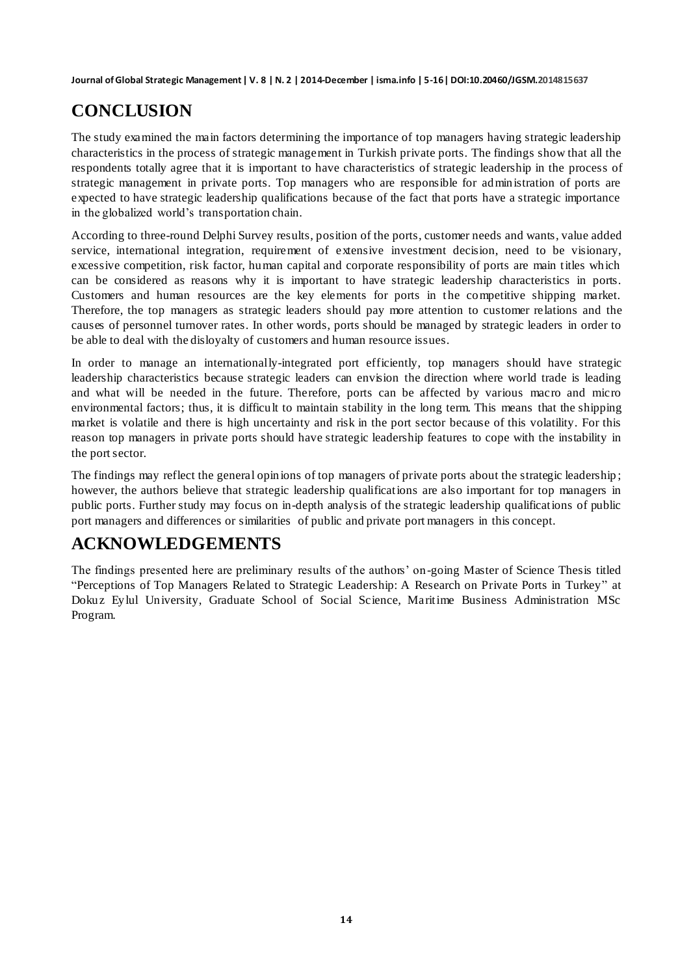# **CONCLUSION**

The study examined the main factors determining the importance of top managers having strategic leadership characteristics in the process of strategic management in Turkish private ports. The findings show that all the respondents totally agree that it is important to have characteristics of strategic leadership in the process of strategic management in private ports. Top managers who are responsible for administration of ports are expected to have strategic leadership qualifications because of the fact that ports have a strategic importance in the globalized world"s transportation chain.

According to three-round Delphi Survey results, position of the ports, customer needs and wants, value added service, international integration, requirement of extensive investment decision, need to be visionary, excessive competition, risk factor, human capital and corporate responsibility of ports are main titles which can be considered as reasons why it is important to have strategic leadership characteristics in ports. Customers and human resources are the key elements for ports in the competitive shipping market. Therefore, the top managers as strategic leaders should pay more attention to customer relations and the causes of personnel turnover rates. In other words, ports should be managed by strategic leaders in order to be able to deal with the disloyalty of customers and human resource issues.

In order to manage an internationally-integrated port efficiently, top managers should have strategic leadership characteristics because strategic leaders can envision the direction where world trade is leading and what will be needed in the future. Therefore, ports can be affected by various macro and micro environmental factors; thus, it is difficult to maintain stability in the long term. This means that the shipping market is volatile and there is high uncertainty and risk in the port sector because of this volatility. For this reason top managers in private ports should have strategic leadership features to cope with the instability in the port sector.

The findings may reflect the general opinions of top managers of private ports about the strategic leadership ; however, the authors believe that strategic leadership qualifications are also important for top managers in public ports. Further study may focus on in-depth analysis of the strategic leadership qualifications of public port managers and differences or similarities of public and private port managers in this concept.

# **ACKNOWLEDGEMENTS**

The findings presented here are preliminary results of the authors" on-going Master of Science Thesis titled "Perceptions of Top Managers Related to Strategic Leadership: A Research on Private Ports in Turkey" at Dokuz Eylul University, Graduate School of Social Science, Maritime Business Administration MSc Program.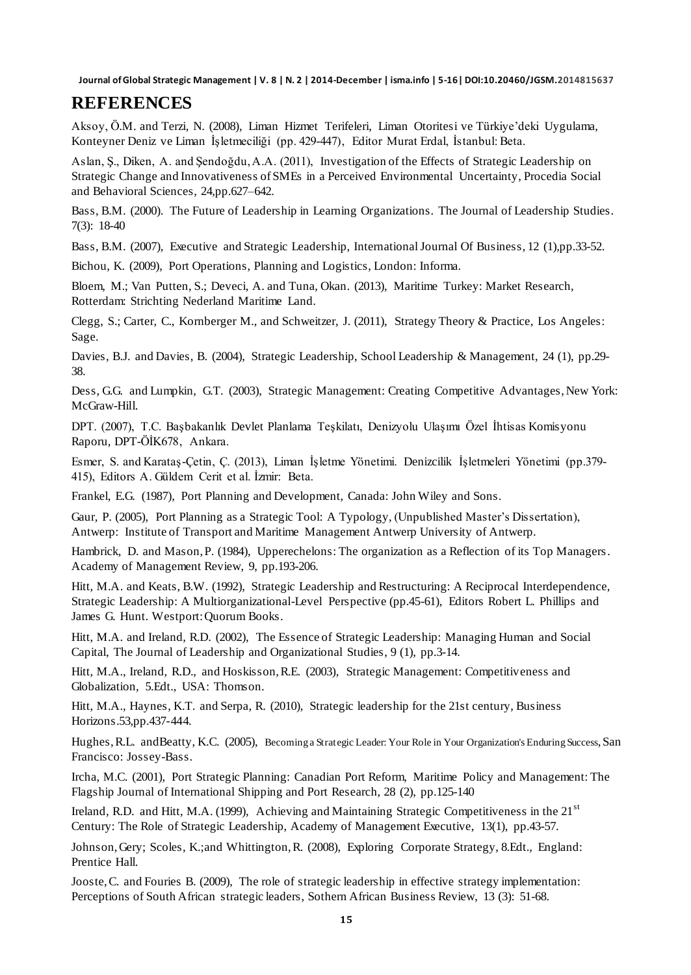### **REFERENCES**

Aksoy, Ö.M. and Terzi, N. (2008), Liman Hizmet Terifeleri, Liman Otoritesi ve Türkiye"deki Uygulama, Konteyner Deniz ve Liman İşletmeciliği (pp. 429-447), Editor Murat Erdal, İstanbul: Beta.

Aslan, Ş., Diken, A. and Şendoğdu, A.A. (2011), Investigation of the Effects of Strategic Leadership on Strategic Change and Innovativeness of SMEs in a Perceived Environmental Uncertainty, Procedia Social and Behavioral Sciences, 24,pp.627–642.

Bass, B.M. (2000). The Future of Leadership in Learning Organizations. The Journal of Leadership Studies. 7(3): 18-40

Bass, B.M. (2007), Executive and Strategic Leadership, International Journal Of Business, 12 (1),pp.33-52.

Bichou, K. (2009), Port Operations, Planning and Logistics, London: Informa.

Bloem, M.; Van Putten, S.; Deveci, A. and Tuna, Okan. (2013), Maritime Turkey: Market Research, Rotterdam: Strichting Nederland Maritime Land.

Clegg, S.; Carter, C., Kornberger M., and Schweitzer, J. (2011), Strategy Theory & Practice, Los Angeles: Sage.

Davies, B.J. and Davies, B. (2004), Strategic Leadership, School Leadership & Management, 24 (1), pp.29- 38.

Dess, G.G. and Lumpkin, G.T. (2003), Strategic Management: Creating Competitive Advantages, New York: McGraw-Hill.

DPT. (2007), T.C. Başbakanlık Devlet Planlama Teşkilatı, Denizyolu Ulaşımı Özel İhtisas Komisyonu Raporu, DPT-ÖİK678, Ankara.

Esmer, S. and Karataş-Çetin, Ç. (2013), Liman İşletme Yönetimi. Denizcilik İşletmeleri Yönetimi (pp.379- 415), Editors A. Güldem Cerit et al. İzmir: Beta.

Frankel, E.G. (1987), Port Planning and Development, Canada: John Wiley and Sons.

Gaur, P. (2005), Port Planning as a Strategic Tool: A Typology, (Unpublished Master"s Dissertation), Antwerp: Institute of Transport and Maritime Management Antwerp University of Antwerp.

Hambrick, D. and Mason, P. (1984), Upperechelons: The organization as a Reflection of its Top Managers. Academy of Management Review, 9, pp.193-206.

Hitt, M.A. and Keats, B.W. (1992), Strategic Leadership and Restructuring: A Reciprocal Interdependence, Strategic Leadership: A Multiorganizational-Level Perspective (pp.45-61), Editors Robert L. Phillips and James G. Hunt. Westport: Quorum Books.

Hitt, M.A. and Ireland, R.D. (2002), The Essence of Strategic Leadership: Managing Human and Social Capital, The Journal of Leadership and Organizational Studies, 9 (1), pp.3-14.

Hitt, M.A., Ireland, R.D., and Hoskisson, R.E. (2003), Strategic Management: Competitiveness and Globalization, 5.Edt., USA: Thomson.

Hitt, M.A., Haynes, K.T. and Serpa, R. (2010), Strategic leadership for the 21st century, Business Horizons.53,pp.437-444.

Hughes, R.L. andBeatty, K.C. (2005), Becoming a Strategic Leader: Your Role in Your Organization's Enduring Success, San Francisco: Jossey-Bass.

Ircha, M.C. (2001), Port Strategic Planning: Canadian Port Reform, Maritime Policy and Management: The Flagship Journal of International Shipping and Port Research, 28 (2), pp.125-140

Ireland, R.D. and Hitt, M.A. (1999), Achieving and Maintaining Strategic Competitiveness in the  $21<sup>st</sup>$ Century: The Role of Strategic Leadership, Academy of Management Executive, 13(1), pp.43-57.

Johnson, Gery; Scoles, K.;and Whittington, R. (2008), Exploring Corporate Strategy, 8.Edt., England: Prentice Hall.

Jooste, C. and Fouries B. (2009), The role of strategic leadership in effective strategy implementation: Perceptions of South African strategic leaders, Sothern African Business Review, 13 (3): 51-68.